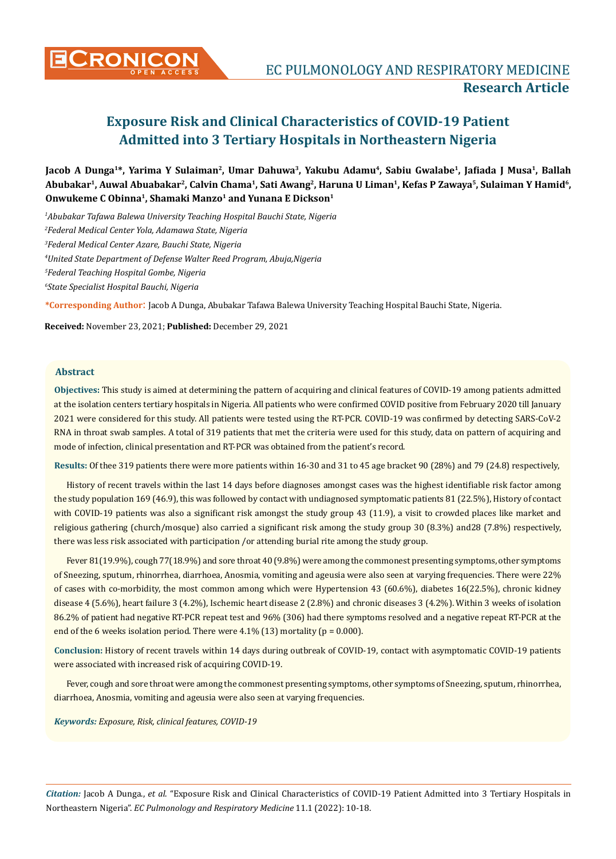

# **Exposure Risk and Clinical Characteristics of COVID-19 Patient Admitted into 3 Tertiary Hospitals in Northeastern Nigeria**

Jacob A Dunga<sup>1\*</sup>, Yarima Y Sulaiman<sup>2</sup>, Umar Dahuwa<sup>3</sup>, Yakubu Adamu<sup>4</sup>, Sabiu Gwalabe<sup>1</sup>, Jafiada J Musa<sup>1</sup>, Ballah **Abubakar1, Auwal Abuabakar2, Calvin Chama1, Sati Awang2, Haruna U Liman1, Kefas P Zawaya5, Sulaiman Y Hamid6, Onwukeme C Obinna1, Shamaki Manzo1 and Yunana E Dickson1**

 *Abubakar Tafawa Balewa University Teaching Hospital Bauchi State, Nigeria Federal Medical Center Yola, Adamawa State, Nigeria Federal Medical Center Azare, Bauchi State, Nigeria United State Department of Defense Walter Reed Program, Abuja,Nigeria Federal Teaching Hospital Gombe, Nigeria State Specialist Hospital Bauchi, Nigeria*

**\*Corresponding Author**: Jacob A Dunga, Abubakar Tafawa Balewa University Teaching Hospital Bauchi State, Nigeria.

**Received:** November 23, 2021; **Published:** December 29, 2021

## **Abstract**

**Objectives:** This study is aimed at determining the pattern of acquiring and clinical features of COVID-19 among patients admitted at the isolation centers tertiary hospitals in Nigeria. All patients who were confirmed COVID positive from February 2020 till January 2021 were considered for this study. All patients were tested using the RT-PCR. COVID-19 was confirmed by detecting SARS-CoV-2 RNA in throat swab samples. A total of 319 patients that met the criteria were used for this study, data on pattern of acquiring and mode of infection, clinical presentation and RT-PCR was obtained from the patient's record.

**Results:** Of thee 319 patients there were more patients within 16-30 and 31 to 45 age bracket 90 (28%) and 79 (24.8) respectively,

History of recent travels within the last 14 days before diagnoses amongst cases was the highest identifiable risk factor among the study population 169 (46.9), this was followed by contact with undiagnosed symptomatic patients 81 (22.5%), History of contact with COVID-19 patients was also a significant risk amongst the study group 43 (11.9), a visit to crowded places like market and religious gathering (church/mosque) also carried a significant risk among the study group 30 (8.3%) and28 (7.8%) respectively, there was less risk associated with participation /or attending burial rite among the study group.

Fever 81(19.9%), cough 77(18.9%) and sore throat 40 (9.8%) were among the commonest presenting symptoms, other symptoms of Sneezing, sputum, rhinorrhea, diarrhoea, Anosmia, vomiting and ageusia were also seen at varying frequencies. There were 22% of cases with co-morbidity, the most common among which were Hypertension 43 (60.6%), diabetes 16(22.5%), chronic kidney disease 4 (5.6%), heart failure 3 (4.2%), Ischemic heart disease 2 (2.8%) and chronic diseases 3 (4.2%). Within 3 weeks of isolation 86.2% of patient had negative RT-PCR repeat test and 96% (306) had there symptoms resolved and a negative repeat RT-PCR at the end of the 6 weeks isolation period. There were  $4.1\%$  (13) mortality (p = 0.000).

**Conclusion:** History of recent travels within 14 days during outbreak of COVID-19, contact with asymptomatic COVID-19 patients were associated with increased risk of acquiring COVID-19.

Fever, cough and sore throat were among the commonest presenting symptoms, other symptoms of Sneezing, sputum, rhinorrhea, diarrhoea, Anosmia, vomiting and ageusia were also seen at varying frequencies.

*Keywords: Exposure, Risk, clinical features, COVID-19*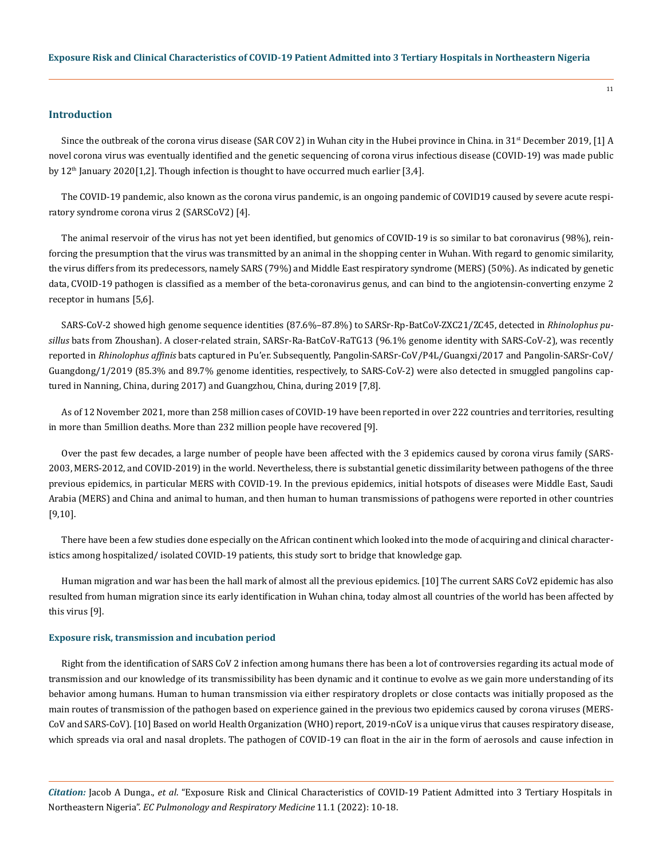## **Introduction**

Since the outbreak of the corona virus disease (SAR COV 2) in Wuhan city in the Hubei province in China. in  $31<sup>st</sup>$  December 2019, [1] A novel corona virus was eventually identified and the genetic sequencing of corona virus infectious disease (COVID-19) was made public by  $12<sup>th</sup>$  January 2020[1,2]. Though infection is thought to have occurred much earlier [3,4].

The COVID-19 pandemic, also known as the corona virus pandemic, is an ongoing pandemic of COVID19 caused by [severe acute respi](https://en.wikipedia.org/wiki/Severe_acute_respiratory_syndrome_coronavirus_2)[ratory syndrome corona virus 2](https://en.wikipedia.org/wiki/Severe_acute_respiratory_syndrome_coronavirus_2) (SARSCoV2) [4].

The animal reservoir of the virus has not yet been identified, but genomics of COVID-19 is so similar to bat coronavirus (98%), reinforcing the presumption that the virus was transmitted by an animal in the shopping center in Wuhan. With regard to genomic similarity, the virus differs from its predecessors, namely SARS (79%) and Middle East respiratory syndrome (MERS) (50%). As indicated by genetic data, CVOID-19 pathogen is classified as a member of the beta-coronavirus genus, and can bind to the angiotensin-converting enzyme 2 receptor in humans [5,6].

SARS-CoV-2 showed high genome sequence identities (87.6%–87.8%) to SARSr-Rp-BatCoV-ZXC21/ZC45, detected in *Rhinolophus pusillus* bats from Zhoushan). A closer-related strain, SARSr-Ra-BatCoV-RaTG13 (96.1% genome identity with SARS-CoV-2), was recently reported in *Rhinolophus affinis* bats captured in Pu'er. Subsequently, Pangolin-SARSr-CoV/P4L/Guangxi/2017 and Pangolin-SARSr-CoV/ Guangdong/1/2019 (85.3% and 89.7% genome identities, respectively, to SARS-CoV-2) were also detected in smuggled pangolins captured in Nanning, China, during 2017) and Guangzhou, China, during 2019 [7,8].

As of 12 November 2021, [more than 258 million cases](https://en.wikipedia.org/wiki/COVID-19_pandemic_cases) of COVID-19 have been reported in over [222 countries and territories,](https://en.wikipedia.org/wiki/COVID-19_pandemic_by_country_and_territory) resulting in [more than 5million deaths.](https://en.wikipedia.org/wiki/COVID-19_pandemic_deaths) More than 232 million people have recovered [9].

Over the past few decades, a large number of people have been affected with the 3 epidemics caused by corona virus family (SARS-2003, MERS-2012, and COVID-2019) in the world. Nevertheless, there is substantial genetic dissimilarity between pathogens of the three previous epidemics, in particular MERS with COVID-19. In the previous epidemics, initial hotspots of diseases were Middle East, Saudi Arabia (MERS) and China and animal to human, and then human to human transmissions of pathogens were reported in other countries [9,10].

There have been a few studies done especially on the African continent which looked into the mode of acquiring and clinical characteristics among hospitalized/ isolated COVID-19 patients, this study sort to bridge that knowledge gap.

Human migration and war has been the hall mark of almost all the previous epidemics. [10] The current SARS CoV2 epidemic has also resulted from human migration since its early identification in Wuhan china, today almost all countries of the world has been affected by this virus [9].

#### **Exposure risk, transmission and incubation period**

Right from the identification of SARS CoV 2 infection among humans there has been a lot of controversies regarding its actual mode of transmission and our knowledge of its transmissibility has been dynamic and it continue to evolve as we gain more understanding of its behavior among humans. Human to human transmission via either respiratory droplets or close contacts was initially proposed as the main routes of transmission of the pathogen based on experience gained in the previous two epidemics caused by corona viruses (MERS-CoV and SARS-CoV). [10] Based on world Health Organization (WHO) report, 2019-nCoV is a unique virus that causes respiratory disease, which spreads via oral and nasal droplets. The pathogen of COVID-19 can float in the air in the form of aerosols and cause infection in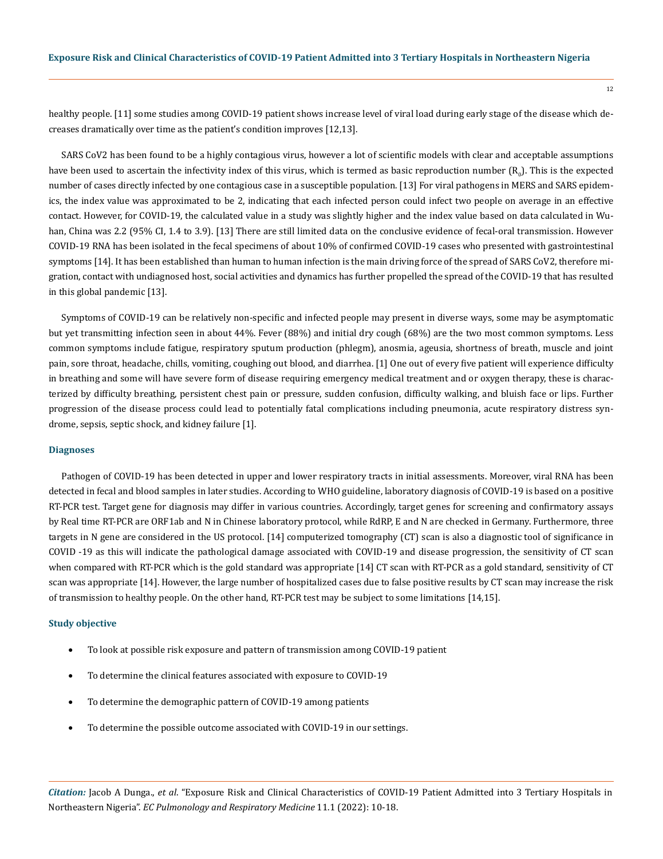healthy people. [11] some studies among COVID-19 patient shows increase level of viral load during early stage of the disease which decreases dramatically over time as the patient's condition improves [12,13].

SARS CoV2 has been found to be a highly contagious virus, however a lot of scientific models with clear and acceptable assumptions have been used to ascertain the infectivity index of this virus, which is termed as basic reproduction number  $(\mathsf{R}_{\scriptscriptstyle{(0)}}).$  This is the expected number of cases directly infected by one contagious case in a susceptible population. [13] For viral pathogens in MERS and SARS epidemics, the index value was approximated to be 2, indicating that each infected person could infect two people on average in an effective contact. However, for COVID-19, the calculated value in a study was slightly higher and the index value based on data calculated in Wuhan, China was 2.2 (95% CI, 1.4 to 3.9). [13] There are still limited data on the conclusive evidence of fecal-oral transmission. However COVID-19 RNA has been isolated in the fecal specimens of about 10% of confirmed COVID-19 cases who presented with gastrointestinal symptoms [14]. It has been established than human to human infection is the main driving force of the spread of SARS CoV2, therefore migration, contact with undiagnosed host, social activities and dynamics has further propelled the spread of the COVID-19 that has resulted in this global pandemic [13].

Symptoms of COVID-19 can be relatively [non-specific](https://en.wikipedia.org/wiki/Non-specific_symptom) and infected people may present in diverse ways, some may be [asymptomatic](https://en.wikipedia.org/wiki/Asymptomatic_carrier)  but yet transmitting infection seen in about 44%. Fever (88%) and initial dry cough (68%) are the two most common symptoms. Less common symptoms include fatigue, respiratory sputum production [\(phlegm\)](https://en.wikipedia.org/wiki/Phlegm), anosmia, ageusia, shortness of breath, muscle and joint pain, sore throat, headache, chills, vomiting, [coughing out blood](https://en.wikipedia.org/wiki/Hemoptysis), and diarrhea. [1] One out of every five patient will experience difficulty in breathing and some will have severe form of disease requiring emergency medical treatment and or oxygen therapy, these is characterized by difficulty breathing, persistent chest pain or pressure, sudden confusion, difficulty walking, and bluish face or lips. Further progression of the disease process could lead to potentially fatal complications including [pneumonia](https://en.wikipedia.org/wiki/Pneumonia), [acute respiratory distress syn](https://en.wikipedia.org/wiki/Acute_respiratory_distress_syndrome)[drome](https://en.wikipedia.org/wiki/Acute_respiratory_distress_syndrome), [sepsis,](https://en.wikipedia.org/wiki/Sepsis) [septic shock](https://en.wikipedia.org/wiki/Septic_shock), and [kidney failure](https://en.wikipedia.org/wiki/Kidney_failure,_acute) [1].

#### **Diagnoses**

Pathogen of COVID-19 has been detected in upper and lower respiratory tracts in initial assessments. Moreover, viral RNA has been detected in fecal and blood samples in later studies. According to WHO guideline, laboratory diagnosis of COVID-19 is based on a positive RT-PCR test. Target gene for diagnosis may differ in various countries. Accordingly, target genes for screening and confirmatory assays by Real time RT-PCR are ORF1ab and N in Chinese laboratory protocol, while RdRP, E and N are checked in Germany. Furthermore, three targets in N gene are considered in the US protocol. [14] computerized tomography (CT) scan is also a diagnostic tool of significance in COVID -19 as this will indicate the pathological damage associated with COVID-19 and disease progression, the sensitivity of CT scan when compared with RT-PCR which is the gold standard was appropriate [14] CT scan with RT-PCR as a gold standard, sensitivity of CT scan was appropriate [14]. However, the large number of hospitalized cases due to false positive results by CT scan may increase the risk of transmission to healthy people. On the other hand, RT-PCR test may be subject to some limitations [14,15].

#### **Study objective**

- To look at possible risk exposure and pattern of transmission among COVID-19 patient
- To determine the clinical features associated with exposure to COVID-19
- To determine the demographic pattern of COVID-19 among patients
- To determine the possible outcome associated with COVID-19 in our settings.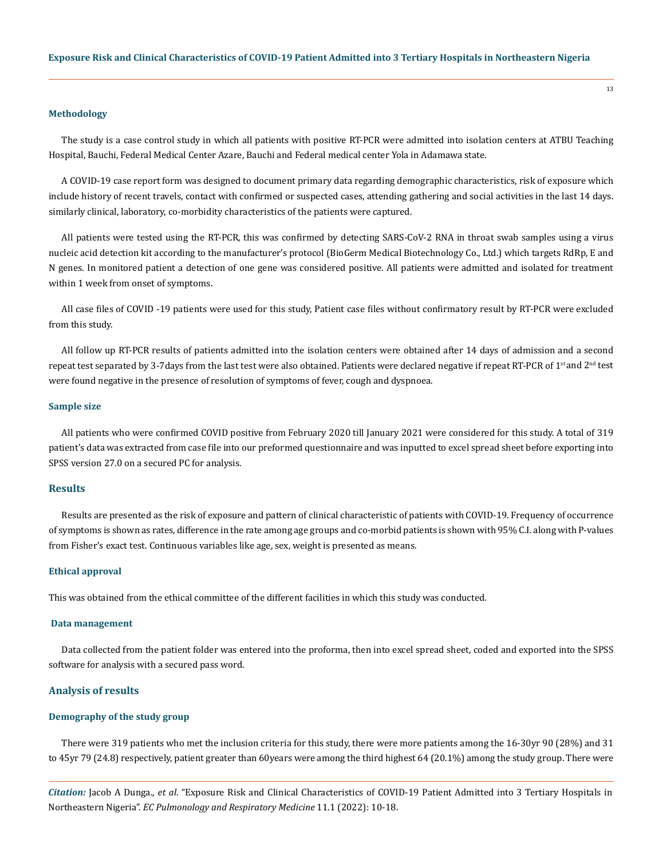#### **Methodology**

The study is a case control study in which all patients with positive RT-PCR were admitted into isolation centers at ATBU Teaching Hospital, Bauchi, Federal Medical Center Azare, Bauchi and Federal medical center Yola in Adamawa state.

A COVID-19 case report form was designed to document primary data regarding demographic characteristics, risk of exposure which include history of recent travels, contact with confirmed or suspected cases, attending gathering and social activities in the last 14 days. similarly clinical, laboratory, co-morbidity characteristics of the patients were captured.

All patients were tested using the RT-PCR, this was confirmed by detecting SARS-CoV-2 RNA in throat swab samples using a virus nucleic acid detection kit according to the manufacturer's protocol (BioGerm Medical Biotechnology Co., Ltd.) which targets RdRp, E and N genes. In monitored patient a detection of one gene was considered positive. All patients were admitted and isolated for treatment within 1 week from onset of symptoms.

All case files of COVID -19 patients were used for this study, Patient case files without confirmatory result by RT-PCR were excluded from this study.

All follow up RT-PCR results of patients admitted into the isolation centers were obtained after 14 days of admission and a second repeat test separated by 3-7days from the last test were also obtained. Patients were declared negative if repeat RT-PCR of 1<sup>st</sup> and 2<sup>nd</sup> test were found negative in the presence of resolution of symptoms of fever, cough and dyspnoea.

#### **Sample size**

All patients who were confirmed COVID positive from February 2020 till January 2021 were considered for this study. A total of 319 patient's data was extracted from case file into our preformed questionnaire and was inputted to excel spread sheet before exporting into SPSS version 27.0 on a secured PC for analysis.

# **Results**

Results are presented as the risk of exposure and pattern of clinical characteristic of patients with COVID-19. Frequency of occurrence of symptoms is shown as rates, difference in the rate among age groups and co-morbid patients is shown with 95% C.I. along with P-values from Fisher's exact test. Continuous variables like age, sex, weight is presented as means.

#### **Ethical approval**

This was obtained from the ethical committee of the different facilities in which this study was conducted.

#### **Data management**

Data collected from the patient folder was entered into the proforma, then into excel spread sheet, coded and exported into the SPSS software for analysis with a secured pass word.

## **Analysis of results**

## **Demography of the study group**

There were 319 patients who met the inclusion criteria for this study, there were more patients among the 16-30yr 90 (28%) and 31 to 45yr 79 (24.8) respectively, patient greater than 60years were among the third highest 64 (20.1%) among the study group. There were

*Citation:* Jacob A Dunga., *et al*. "Exposure Risk and Clinical Characteristics of COVID-19 Patient Admitted into 3 Tertiary Hospitals in Northeastern Nigeria". *EC Pulmonology and Respiratory Medicine* 11.1 (2022): 10-18.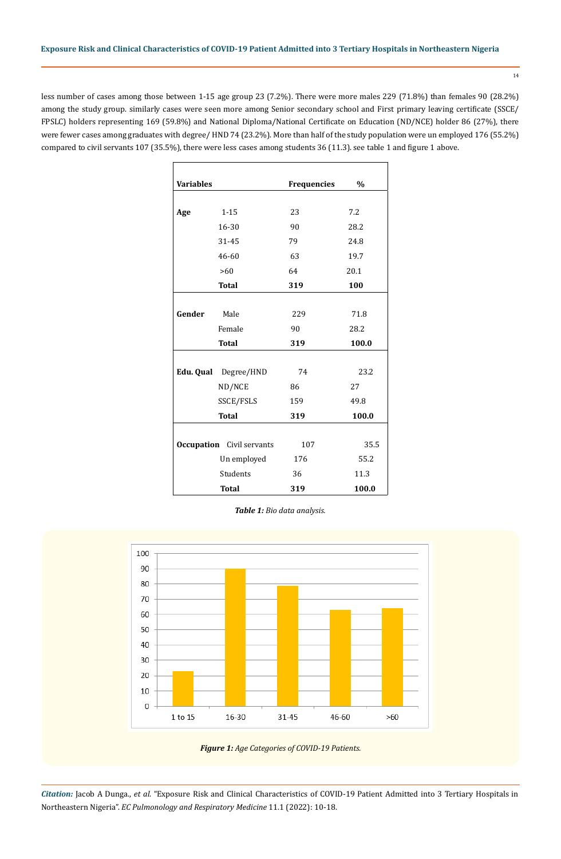less number of cases among those between 1-15 age group 23 (7.2%). There were more males 229 (71.8%) than females 90 (28.2%) among the study group. similarly cases were seen more among Senior secondary school and First primary leaving certificate (SSCE/ FPSLC) holders representing 169 (59.8%) and National Diploma/National Certificate on Education (ND/NCE) holder 86 (27%), there were fewer cases among graduates with degree/ HND 74 (23.2%). More than half of the study population were un employed 176 (55.2%) compared to civil servants 107 (35.5%), there were less cases among students 36 (11.3). see table 1 and figure 1 above.

| <b>Variables</b> |                                  | <b>Frequencies</b> | $\frac{0}{0}$ |
|------------------|----------------------------------|--------------------|---------------|
|                  |                                  |                    |               |
| Age              | $1 - 15$                         | 23                 | 7.2           |
|                  | 16-30                            | 90                 | 28.2          |
|                  | 31-45                            | 79                 | 24.8          |
|                  | 46-60                            | 63                 | 19.7          |
|                  | >60                              | 64                 | 20.1          |
|                  | <b>Total</b>                     | 319                | 100           |
|                  |                                  |                    |               |
| Gender           | Male                             | 229                | 71.8          |
|                  | Female                           | 90                 | 28.2          |
|                  | <b>Total</b>                     | 319                | 100.0         |
|                  |                                  |                    |               |
|                  | Edu. Qual Degree/HND             | 74                 | 23.2          |
|                  | ND/NCE                           | 86                 | 27            |
|                  | SSCE/FSLS                        | 159                | 49.8          |
|                  | <b>Total</b>                     | 319                | 100.0         |
|                  |                                  |                    |               |
|                  | <b>Occupation</b> Civil servants | 107                | 35.5          |
|                  | Un employed                      | 176                | 55.2          |
|                  | Students                         | 36                 | 11.3          |
|                  | <b>Total</b>                     | 319                | 100.0         |

*Table 1: Bio data analysis.*



*Citation:* Jacob A Dunga., *et al*. "Exposure Risk and Clinical Characteristics of COVID-19 Patient Admitted into 3 Tertiary Hospitals in Northeastern Nigeria". *EC Pulmonology and Respiratory Medicine* 11.1 (2022): 10-18.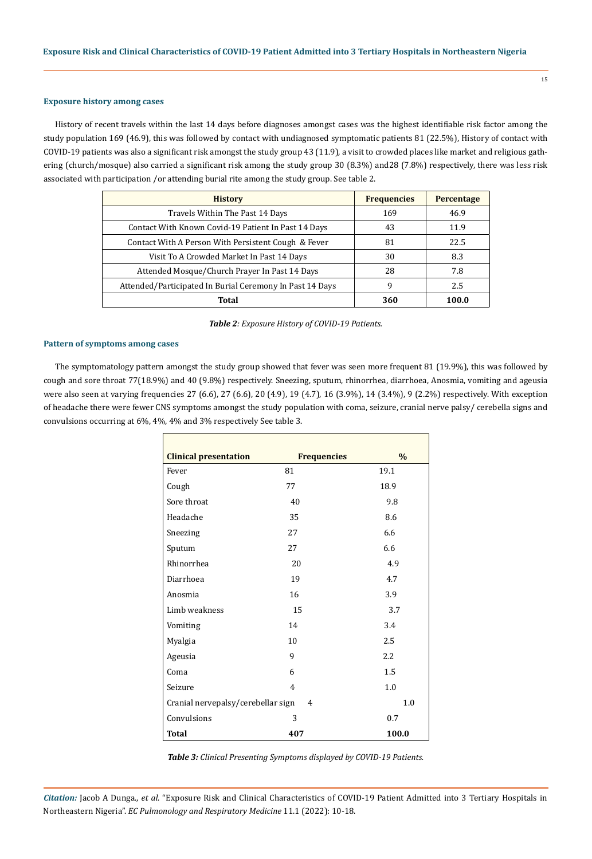### **Exposure history among cases**

History of recent travels within the last 14 days before diagnoses amongst cases was the highest identifiable risk factor among the study population 169 (46.9), this was followed by contact with undiagnosed symptomatic patients 81 (22.5%), History of contact with COVID-19 patients was also a significant risk amongst the study group 43 (11.9), a visit to crowded places like market and religious gathering (church/mosque) also carried a significant risk among the study group 30 (8.3%) and28 (7.8%) respectively, there was less risk associated with participation /or attending burial rite among the study group. See table 2.

| <b>History</b>                                           | <b>Frequencies</b> | <b>Percentage</b> |
|----------------------------------------------------------|--------------------|-------------------|
| Travels Within The Past 14 Days                          | 169                | 46.9              |
| Contact With Known Covid-19 Patient In Past 14 Days      | 43                 | 11.9              |
| Contact With A Person With Persistent Cough & Fever      | 81                 | 22.5              |
| Visit To A Crowded Market In Past 14 Days                | 30                 | 8.3               |
| Attended Mosque/Church Prayer In Past 14 Days            | 28                 | 7.8               |
| Attended/Participated In Burial Ceremony In Past 14 Days | 9                  | 2.5               |
| Total                                                    | 360                | 100.0             |

|  |  |  |  | Table 2: Exposure History of COVID-19 Patients. |
|--|--|--|--|-------------------------------------------------|
|--|--|--|--|-------------------------------------------------|

# **Pattern of symptoms among cases**

 $\overline{\Gamma}$ 

The symptomatology pattern amongst the study group showed that fever was seen more frequent 81 (19.9%), this was followed by cough and sore throat 77(18.9%) and 40 (9.8%) respectively. Sneezing, sputum, rhinorrhea, diarrhoea, Anosmia, vomiting and ageusia were also seen at varying frequencies 27 (6.6), 27 (6.6), 20 (4.9), 19 (4.7), 16 (3.9%), 14 (3.4%), 9 (2.2%) respectively. With exception of headache there were fewer CNS symptoms amongst the study population with coma, seizure, cranial nerve palsy/ cerebella signs and convulsions occurring at 6%, 4%, 4% and 3% respectively See table 3.

| <b>Clinical presentation</b>                   | <b>Frequencies</b> | $\frac{0}{0}$ |
|------------------------------------------------|--------------------|---------------|
| Fever                                          | 81                 | 19.1          |
| Cough                                          | 77                 | 18.9          |
| Sore throat                                    | 40                 | 9.8           |
| Headache                                       | 35                 | 8.6           |
| Sneezing                                       | 27                 | 6.6           |
| Sputum                                         | 27                 | 6.6           |
| Rhinorrhea                                     | 20                 | 4.9           |
| Diarrhoea                                      | 19                 | 4.7           |
| Anosmia                                        | 16                 | 3.9           |
| Limb weakness                                  | 15                 | 3.7           |
| Vomiting                                       | 14                 | 3.4           |
| Myalgia                                        | 10                 | 2.5           |
| Ageusia                                        | 9                  | 2.2           |
| Coma                                           | 6                  | 1.5           |
| Seizure                                        | $\overline{4}$     | 1.0           |
| 1.0<br>Cranial nervepalsy/cerebellar sign<br>4 |                    |               |
| Convulsions                                    | 3                  | 0.7           |
| <b>Total</b>                                   | 407                | 100.0         |

*Table 3: Clinical Presenting Symptoms displayed by COVID-19 Patients.*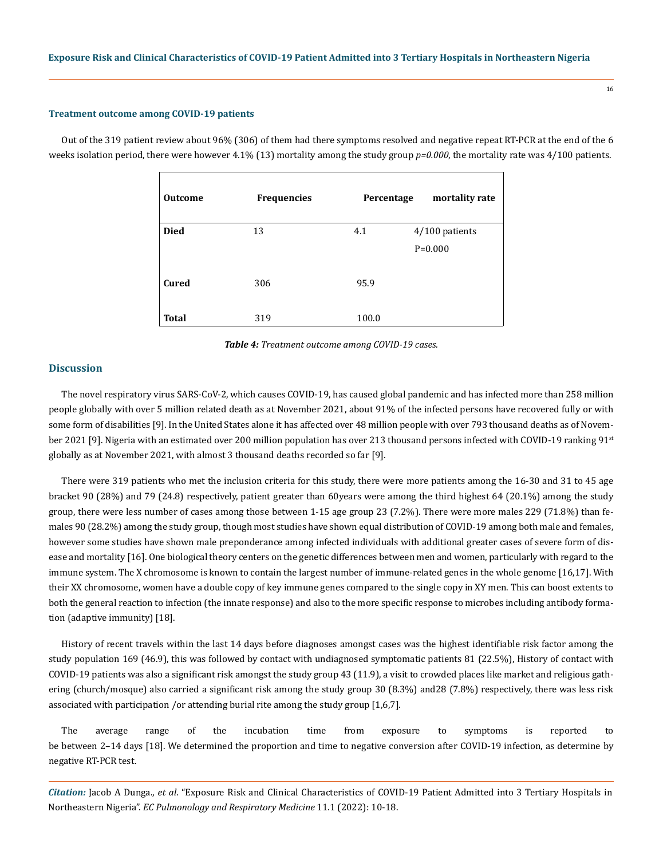#### **Treatment outcome among COVID-19 patients**

Out of the 319 patient review about 96% (306) of them had there symptoms resolved and negative repeat RT-PCR at the end of the 6 weeks isolation period, there were however 4.1% (13) mortality among the study group  $p=0.000$ , the mortality rate was 4/100 patients.

| <b>Outcome</b> | <b>Frequencies</b> | Percentage | mortality rate |
|----------------|--------------------|------------|----------------|
| <b>Died</b>    | 13                 | 4.1        | 4/100 patients |
|                |                    |            | $P = 0.000$    |
|                |                    |            |                |
| Cured          | 306                | 95.9       |                |
|                |                    |            |                |
| <b>Total</b>   | 319                | 100.0      |                |

*Table 4: Treatment outcome among COVID-19 cases.*

## **Discussion**

The novel respiratory virus SARS-CoV-2, which causes COVID-19, has caused global pandemic and has infected more than 258 million people globally with over 5 million related death as at November 2021, about 91% of the infected persons have recovered fully or with some form of disabilities [9]. In the United States alone it has affected over 48 million people with over 793 thousand deaths as of November 2021 [9]. Nigeria with an estimated over 200 million population has over 213 thousand persons infected with COVID-19 ranking 91st globally as at November 2021, with almost 3 thousand deaths recorded so far [9].

There were 319 patients who met the inclusion criteria for this study, there were more patients among the 16-30 and 31 to 45 age bracket 90 (28%) and 79 (24.8) respectively, patient greater than 60years were among the third highest 64 (20.1%) among the study group, there were less number of cases among those between 1-15 age group 23 (7.2%). There were more males 229 (71.8%) than females 90 (28.2%) among the study group, though most studies have shown equal distribution of COVID-19 among both male and females, however some studies have shown male preponderance among infected individuals with additional greater cases of severe form of disease and mortality [16]. One biological theory centers on the genetic differences between men and women, particularly with regard to the immune system. The X chromosome is known to contain the largest number of immune-related genes in the whole genome [16,17]. With their XX chromosome, women have a double copy of key immune genes compared to the single copy in XY men. This can boost extents to both the general reaction to infection (the innate response) and also to the more specific response to microbes including antibody formation (adaptive immunity) [18].

History of recent travels within the last 14 days before diagnoses amongst cases was the highest identifiable risk factor among the study population 169 (46.9), this was followed by contact with undiagnosed symptomatic patients 81 (22.5%), History of contact with COVID-19 patients was also a significant risk amongst the study group 43 (11.9), a visit to crowded places like market and religious gathering (church/mosque) also carried a significant risk among the study group 30 (8.3%) and28 (7.8%) respectively, there was less risk associated with participation /or attending burial rite among the study group [1,6,7].

The average range of the incubation time from exposure to symptoms is reported to be between 2–14 days [18]. We determined the proportion and time to negative conversion after COVID-19 infection, as determine by negative RT-PCR test.

*Citation:* Jacob A Dunga., *et al*. "Exposure Risk and Clinical Characteristics of COVID-19 Patient Admitted into 3 Tertiary Hospitals in Northeastern Nigeria". *EC Pulmonology and Respiratory Medicine* 11.1 (2022): 10-18.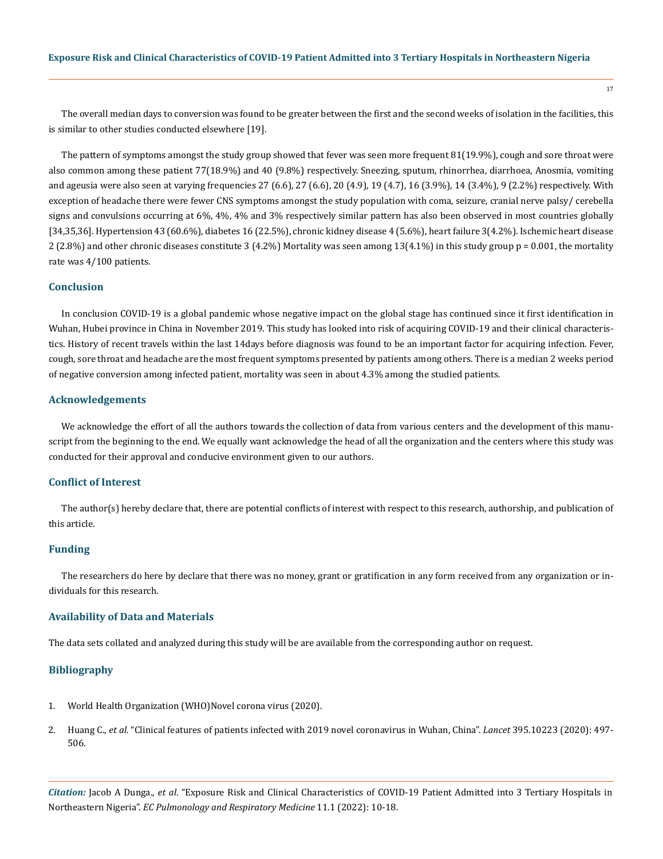The overall median days to conversion was found to be greater between the first and the second weeks of isolation in the facilities, this is similar to other studies conducted elsewhere [19].

The pattern of symptoms amongst the study group showed that fever was seen more frequent 81(19.9%), cough and sore throat were also common among these patient 77(18.9%) and 40 (9.8%) respectively. Sneezing, sputum, rhinorrhea, diarrhoea, Anosmia, vomiting and ageusia were also seen at varying frequencies 27 (6.6), 27 (6.6), 20 (4.9), 19 (4.7), 16 (3.9%), 14 (3.4%), 9 (2.2%) respectively. With exception of headache there were fewer CNS symptoms amongst the study population with coma, seizure, cranial nerve palsy/ cerebella signs and convulsions occurring at 6%, 4%, 4% and 3% respectively similar pattern has also been observed in most countries globally [34,35,36]. Hypertension 43 (60.6%), diabetes 16 (22.5%), chronic kidney disease 4 (5.6%), heart failure 3(4.2%). Ischemic heart disease  $2$  (2.8%) and other chronic diseases constitute 3 (4.2%) Mortality was seen among 13(4.1%) in this study group  $p = 0.001$ , the mortality rate was 4/100 patients.

# **Conclusion**

In conclusion COVID-19 is a global pandemic whose negative impact on the global stage has continued since it first identification in Wuhan, Hubei province in China in November 2019. This study has looked into risk of acquiring COVID-19 and their clinical characteristics. History of recent travels within the last 14days before diagnosis was found to be an important factor for acquiring infection. Fever, cough, sore throat and headache are the most frequent symptoms presented by patients among others. There is a median 2 weeks period of negative conversion among infected patient, mortality was seen in about 4.3% among the studied patients.

## **Acknowledgements**

We acknowledge the effort of all the authors towards the collection of data from various centers and the development of this manuscript from the beginning to the end. We equally want acknowledge the head of all the organization and the centers where this study was conducted for their approval and conducive environment given to our authors.

# **Conflict of Interest**

The author(s) hereby declare that, there are potential conflicts of interest with respect to this research, authorship, and publication of this article.

### **Funding**

The researchers do here by declare that there was no money, grant or gratification in any form received from any organization or individuals for this research.

### **Availability of Data and Materials**

The data sets collated and analyzed during this study will be are available from the corresponding author on request.

### **Bibliography**

- 1. World Health Organization (WHO)Novel corona virus (2020).
- 2. Huang C., *et al.* ["Clinical features of patients infected with 2019 novel coronavirus in Wuhan, China".](https://www.thelancet.com/journals/lancet/article/PIIS0140-6736(20)30183-5/fulltext) *Lancet* 395.10223 (2020): 497- [506.](https://www.thelancet.com/journals/lancet/article/PIIS0140-6736(20)30183-5/fulltext)